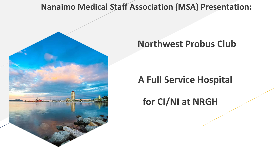## **Nanaimo Medical Staff Association (MSA) Presentation:**



## **Northwest Probus Club**

# **A Full Service Hospital**

# **for CI/NI at NRGH**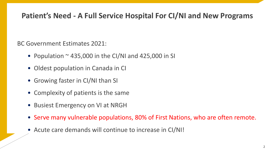## **Patient's Need - A Full Service Hospital For CI/NI and New Programs**

BC Government Estimates 2021:

- Population  $\sim$  435,000 in the CI/NI and 425,000 in SI
- Oldest population in Canada in CI
- Growing faster in CI/NI than SI
- Complexity of patients is the same
- Busiest Emergency on VI at NRGH
- Serve many vulnerable populations, 80% of First Nations, who are often remote.
- Acute care demands will continue to increase in CI/NI!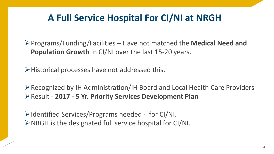# **A Full Service Hospital For CI/NI at NRGH**

Programs/Funding/Facilities – Have not matched the **Medical Need and Population Growth** in CI/NI over the last 15-20 years.

Historical processes have not addressed this.

Recognized by IH Administration/IH Board and Local Health Care Providers Result - **2017 - 5 Yr. Priority Services Development Plan** 

 $\triangleright$  Identified Services/Programs needed - for CI/NI.  $\triangleright$  NRGH is the designated full service hospital for CI/NI.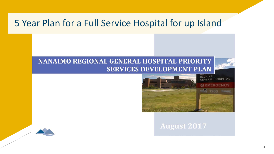## 5 Year Plan for a Full Service Hospital for up Island

### **NANAIMO REGIONAL GENERAL HOSPITAL PRIORITY SERVICES DEVELOPMENT PLAN**



#### **August 2017**

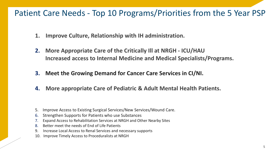## Patient Care Needs - Top 10 Programs/Priorities from the 5 Year PSP

- **1. Improve Culture, Relationship with IH administration.**
- **2. More Appropriate Care of the Critically Ill at NRGH - ICU/HAU Increased access to Internal Medicine and Medical Specialists/Programs.**
- **3. Meet the Growing Demand for Cancer Care Services in CI/NI.**
- **4. More appropriate Care of Pediatric & Adult Mental Health Patients.**

- 5. Improve Access to Existing Surgical Services/New Services/Wound Care.
- 6. Strengthen Supports for Patients who use Substances
- 7. Expand Access to Rehabilitation Services at NRGH and Other Nearby Sites
- 8. Better meet the needs of End of Life Patients
- 9. Increase Local Access to Renal Services and necessary supports
- 10. Improve Timely Access to Proceduralists at NRGH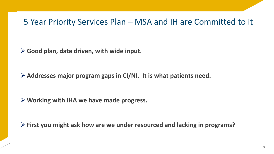## 5 Year Priority Services Plan – MSA and IH are Committed to it

**Good plan, data driven, with wide input.** 

**Addresses major program gaps in CI/NI. It is what patients need.**

**Working with IHA we have made progress.** 

**First you might ask how are we under resourced and lacking in programs?**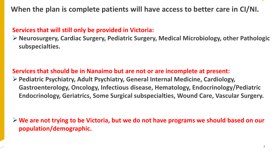#### **Services that will still only be provided in Victoria:**

**Neurosurgery, Cardiac Surgery, Pediatric Surgery, Medical Microbiology, other Pathologic subspecialties.** 

**Services that should be in Nanaimo but are not or are incomplete at present:**

**Pediatric Psychiatry, Adult Psychiatry, General Internal Medicine, Cardiology, Gastroenterology, Oncology, Infectious disease, Hematology, Endocrinology/Pediatric Endocrinology, Geriatrics, Some Surgical subspecialties, Wound Care, Vascular Surgery.**

**We are not trying to be Victoria, but we do not have programs we should based on our population/demographic.**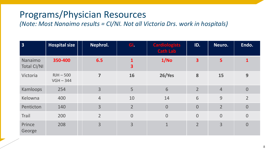# Programs/Physician Resources

*(Note: Most Nanaimo results = CI/NI. Not all Victoria Drs. work in hospitals)*

| $\overline{\mathbf{3}}$       | <b>Hospital size</b>       | Nephrol.       | GI.                                     | <b>Cardiologists</b><br><b>Cath Lab</b> | ID.                     | Neuro.         | Endo.          |
|-------------------------------|----------------------------|----------------|-----------------------------------------|-----------------------------------------|-------------------------|----------------|----------------|
| Nanaimo<br><b>Total CI/NI</b> | 350-400                    | 6.5            | $\mathbf{1}$<br>$\overline{\mathbf{3}}$ | 1/NO                                    | $\overline{\mathbf{3}}$ | 5              | $\mathbf{1}$   |
| Victoria                      | $RJH - 500$<br>$VGH - 344$ | $\overline{ }$ | 16                                      | <b>26/Yes</b>                           | 8                       | 15             | 9              |
| Kamloops                      | 254                        | $\overline{3}$ | 5                                       | 6                                       | $\overline{2}$          | $\overline{4}$ | $\overline{0}$ |
| Kelowna                       | 400                        | $\overline{4}$ | 10                                      | 14                                      | 6                       | 9              | $\overline{2}$ |
| Penticton                     | 140                        | $\overline{3}$ | $\overline{2}$                          | $\overline{0}$                          | $\overline{0}$          | $\overline{2}$ | $\overline{0}$ |
| <b>Trail</b>                  | 200                        | $\overline{2}$ | $\overline{0}$                          | $\overline{0}$                          | $\overline{0}$          | $\overline{0}$ | $\overline{0}$ |
| Prince<br>George              | 208                        | $\overline{3}$ | $\overline{3}$                          | $\mathbf{1}$                            | $\overline{2}$          | 3              | $\overline{0}$ |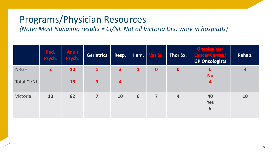## Programs/Physician Resources

*(Note: Most Nanaimo results = CI/NI. Not all Victoria Drs. work in hospitals)*

|                                   | Ped.<br>Psych. | <b>Adult</b><br>Psych. | <b>Geriatrics</b>              | Resp.                        | Hem.         | Vas Sx.                 | Thor Sx.                | Oncologists/<br><b>Cancer Centre/</b><br><b>GP Oncologists</b> | Rehab. |
|-----------------------------------|----------------|------------------------|--------------------------------|------------------------------|--------------|-------------------------|-------------------------|----------------------------------------------------------------|--------|
| <b>NRGH</b><br><b>Total CI/NI</b> | $\overline{2}$ | <b>10</b><br>18        | $\mathbf{1}$<br>3 <sup>1</sup> | $\overline{\mathbf{3}}$<br>4 | $\mathbf{1}$ | $\boldsymbol{0}$        | $\mathbf 0$             | $\mathbf 0$<br><b>No</b><br>4                                  | 4      |
| Victoria                          | 13             | 82                     | 7                              | 10                           | 6            | $\overline{\mathbf{z}}$ | $\overline{\mathbf{4}}$ | 40<br><b>Yes</b><br>9                                          | 10     |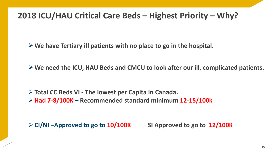## **2018 ICU/HAU Critical Care Beds – Highest Priority – Why?**

**We have Tertiary ill patients with no place to go in the hospital.** 

**We need the ICU, HAU Beds and CMCU to look after our ill, complicated patients.**

**Total CC Beds VI - The lowest per Capita in Canada. Had 7-8/100K – Recommended standard minimum 12-15/100k**

**CI/NI –Approved to go to 10/100K SI Approved to go to 12/100K**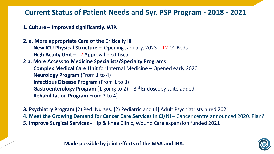### **Current Status of Patient Needs and 5yr. PSP Program - 2018 - 2021**

**1. Culture – Improved significantly. WIP.** 

**2. a. More appropriate Care of the Critically ill**

**New ICU Physical Structure –** Opening January, 2023 – 12 CC Beds **High Acuity Unit –** 12 Approval next fiscal.

**2 b. More Access to Medicine Specialists/Specialty Programs Complex Medical Care Unit** for Internal Medicine – Opened early 2020 **Neurology Program** (From 1 to 4) **Infectious Disease Program** (From 1 to 3) **Gastroenterology Program** (1 going to 2) - 3<sup>rd</sup> Endoscopy suite added. **Rehabilitation Program** From 2 to 4)

**3. Psychiatry Program (**2**)** Ped. Nurses, **(**2**)** Pediatric and (4**)** Adult Psychiatrists hired 2021 **4. Meet the Growing Demand for Cancer Care Services in CI/NI –** Cancer centre announced 2020. Plan? **5. Improve Surgical Services -** Hip & Knee Clinic, Wound Care expansion funded 2021

**Made possible by joint efforts of the MSA and IHA.** 11

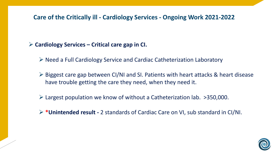#### **Care of the Critically ill - Cardiology Services - Ongoing Work 2021-2022**

#### **Cardiology Services – Critical care gap in CI.**

- $\triangleright$  Need a Full Cardiology Service and Cardiac Catheterization Laboratory
- $\triangleright$  Biggest care gap between CI/NI and SI. Patients with heart attacks & heart disease have trouble getting the care they need, when they need it.
- Largest population we know of without a Catheterization lab. >350,000.
- **\*Unintended result -** 2 standards of Cardiac Care on VI, sub standard in CI/NI.

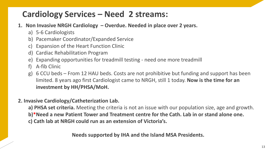## **Cardiology Services – Need 2 streams:**

- **1. Non Invasive NRGH Cardiology – Overdue. Needed in place over 2 years.** 
	- a) 5-6 Cardiologists
	- b) Pacemaker Coordinator/Expanded Service
	- c) Expansion of the Heart Function Clinic
	- d) Cardiac Rehabilitation Program
	- e) Expanding opportunities for treadmill testing need one more treadmill
	- f) A-fib Clinic
	- g) 6 CCU beds From 12 HAU beds. Costs are not prohibitive but funding and support has been limited. 8 years ago first Cardiologist came to NRGH, still 1 today. **Now is the time for an investment by HH/PHSA/MoH.**
- **2. Invasive Cardiology/Catheterization Lab.**

**a) PHSA set criteria.** Meeting the criteria is not an issue with our population size, age and growth. **b)\*Need a new Patient Tower and Treatment centre for the Cath. Lab in or stand alone one. c) Cath lab at NRGH could run as an extension of Victoria's.**

**Needs supported by IHA and the Island MSA Presidents.**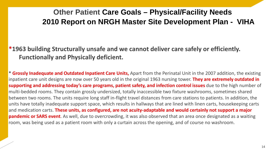## **Other Patient Care Goals – Physical/Facility Needs 2010 Report on NRGH Master Site Development Plan - VIHA**

**\*1963 building Structurally unsafe and we cannot deliver care safely or efficiently. Functionally and Physically deficient.**

**\* Grossly Inadequate and Outdated Inpatient Care Units,** Apart from the Perinatal Unit in the 2007 addition, the existing inpatient care unit designs are now over 50 years old in the original 1963 nursing tower. **They are extremely outdated in supporting and addressing today's care programs, patient safety, and infection control issues** due to the high number of multi-bedded rooms. They contain grossly undersized, totally inaccessible two fixture washrooms, sometimes shared between two rooms. The units require long staff in-flight travel distances from care stations to patients. In addition, the units have totally inadequate support space, which results in hallways that are lined with linen carts, housekeeping carts and medication carts. **These units, as configured, are not acuity-adaptable and would certainly not support a major pandemic or SARS event**. As well, due to overcrowding, it was also observed that an area once designated as a waiting room, was being used as a patient room with only a curtain across the opening, and of course no washroom.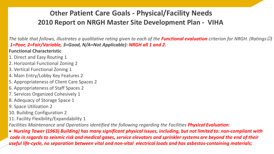### **Other Patient Care Goals - Physical/Facility Needs 2010 Report on NRGH Master Site Development Plan - VIHA**

*The table that follows, illustrates a qualitative rating given to each of the Functional evaluation criterion for NRGH. (Ratings* $\mathcal{O}$ *) 1=Poor, 2=Fair/Variable, 3=Good, N/A=Not Applicable): NRGH all 1 and 2.*

#### **Functional Characteristic**

- 1. Direct and Easy Routing 1
- 2. Horizontal Functional Zoning 2
- 3. Vertical Functional Zoning 1
- 4. Main Entry/Lobby Key Features 2
- 5. Appropriateness of Client Care Spaces 2
- 6. Appropriateness of Staff Spaces 2
- 7. Services Organized Cohesively 1
- 8. Adequacy of Storage Space 1
- 9. Space Utilization 2
- 10. Building Configuration 2
- 11. Facility Flexibility/Expandability 1

*Facilities Maintenance and Operations identified the following regarding the Facilities Physical Evaluation:* 

• *Nursing Tower (1963) Building) has many significant physical issues, including, but not limited to: non-compliant with code in regards to seismic risk and medical gases, service elevators and sprinkler systems are beyond the end of their useful life-cycle, no separation between vital and non-vital electrical loads and has asbestos-containing materials;*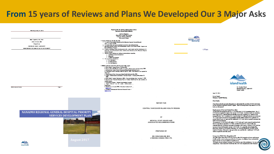## **From 15 years of Reviews and Plans We Developed Our 3 Major Asks**



**VII-W. External Reniers** 

VIIIA Room (May 21, 2013)

**Mae Squires, RN, PhD** 

#### NANAIMO REGIONAL GENERAL HOSPITAL PRIORITY **SERVICES DEVELOPMENT PLAN**



#### **Professor, Division of Medicine University of Olaven** 4 Team of Reference for the site visit

Interview selected medical and administrative leaders of the Heart Health Program and

Report on the site visit for cardiovascular services

**Vancouver is local Health Anti-active** Lyell A.J. Higginson **Hoverals of Otrans Head Institute** 

- 4. Examine cardiology service development in the central island and the development of a
- disconstic and interventional cardier; catheterization laboratory at the Marajora Regional
- 
- b. Report of the PAPCH sub committee on cardiac catheterization and intervention 2005 c. Interventional Cardiac Access Vancouver Island Health Authority Record d. Cardinlogy Services meeting at NRGH, April 22, 2006 - The Business Case against the
- f. Cardiec Catheterization Leboratories Procedure Report February 24 to March 31
- g. Heart Health Program Submission, VIIIA Five year strategic plan, December 1, 2005. h. Report to the Provincial Advisory Panel on Cardiac Health from the sub-committee on
- www.chi.co.
- L Canadian Cardiovescular Outcomes Research Team-**The Charles of Several**



t Plan



Dr. Gorden Wood Medical Director, Adult ICU Island Health

June 19, 2014

**Kevin David** Manager, Capital Planning

**Dear Daniel:** 

I have been asked to nonside information to substantiate the need for 22 ICU/HAU beds for the Nanaimo Regional General Hospital. There are many metrics by which ICU/HAU beds are determined

#### **Replacement of Current Critical Care Beds**

As you know the proposal calls for 12 ICU beds and 10 HAU (stepdown) beds. The 12 ICU beds are required to replace the current 10 ICU beds. An extra 2 beds are needed to meet sugges in ICU demand that periodically occur now requiring ICU patients to be managed in the PAR. In addition, it is expected that ICU demand will increase in the next 10-15 years due to an increase in population and the elderly (60% of ICU patients are greater than 60 years of age) and the additional 2 ICU beds will be needed to manage this future increased demand

The proposed 10 HAU beds will replace 3 CCU beds and 3 post-surgical stepdown beds that we convently in operation. Dr. Mann, Medical Director for Heart Health, Inc. estimated that the Cardiology program in Nanaimo will require 4 of these HAU beds (an increase of one bed from the current 3 CCU beds). It is generally acknowledged by physicians and muses in Nanaim of but there are seriously ill patients cared for on the wards in Nanaimo who need a step up in their care and that the 3 additional HAU beds will be required to meet this need.

#### Comparison With Other Hospitals in BC

The table below shows the ICU/HAU beds in other BC hospitals in Fraser and Interior Health and the current and proposed beds in Nanaimo. In addition I have included the figures for the two new Northern Hospitals in IH. The figures do not include Coronwy Care Beds for any of the institutions. For an accy comparison, I have removed 4 beds from the HAU bed complement in the Nanaimo

16





OF **MEDICAL STAFF ISSUES AND ASSOCIATED RECOMMENDATIONS** 

**REPORT FOR** 

CENTRAL VANCOUVER ISLAND HEALTH REGION

PREPARED BY

DR. DON CARLOW, M.D. **LYNROSS CONSULTING LTD.**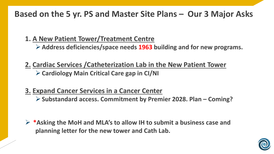## **Based on the 5 yr. PS and Master Site Plans – Our 3 Major Asks**

- **1. A New Patient Tower/Treatment Centre**
	- **Address deficiencies/space needs 1963 building and for new programs.**
- **2. Cardiac Services /Catheterization Lab in the New Patient Tower Cardiology Main Critical Care gap in CI/NI**
- **3. Expand Cancer Services in a Cancer Center** 
	- **Substandard access. Commitment by Premier 2028. Plan – Coming?**

 **\*Asking the MoH and MLA's to allow IH to submit a business case and planning letter for the new tower and Cath Lab.**

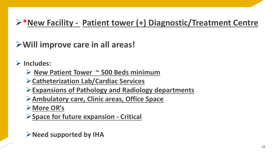# **\*New Facility - Patient tower (+) Diagnostic/Treatment Centre**

**Will improve care in all areas!**

**Includes:**

**New Patient Tower ~ 500 Beds minimum**

**Catheterization Lab/Cardiac Services**

**Expansions of Pathology and Radiology departments**

**Ambulatory care, Clinic areas, Office Space**

**More OR's**

**Space for future expansion - Critical**

**Need supported by IHA**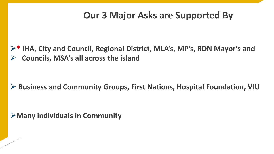## **Our 3 Major Asks are Supported By**

**\* IHA, City and Council, Regional District, MLA's, MP's, RDN Mayor's and Councils, MSA's all across the island**

### **▶ Business and Community Groups, First Nations, Hospital Foundation, VIU**

**Many individuals in Community**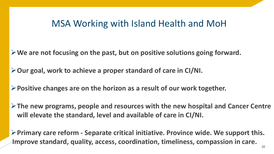## MSA Working with Island Health and MoH

**We are not focusing on the past, but on positive solutions going forward.**

**Our goal, work to achieve a proper standard of care in CI/NI.**

**Positive changes are on the horizon as a result of our work together.**

**The new programs, people and resources with the new hospital and Cancer Centre will elevate the standard, level and available of care in CI/NI.**

**Primary care reform - Separate critical initiative. Province wide. We support this. Improve standard, quality, access, coordination, timeliness, compassion in care.**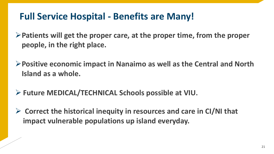# **Full Service Hospital - Benefits are Many!**

**Patients will get the proper care, at the proper time, from the proper people, in the right place.**

**Positive economic impact in Nanaimo as well as the Central and North Island as a whole.** 

- **Future MEDICAL/TECHNICAL Schools possible at VIU.**
- **Correct the historical inequity in resources and care in CI/NI that impact vulnerable populations up island everyday.**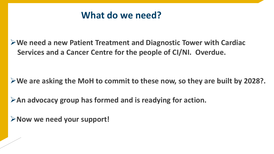## **What do we need?**

**We need a new Patient Treatment and Diagnostic Tower with Cardiac Services and a Cancer Centre for the people of CI/NI. Overdue.** 

**We are asking the MoH to commit to these now, so they are built by 2028?.**

**An advocacy group has formed and is readying for action.**

**Now we need your support!**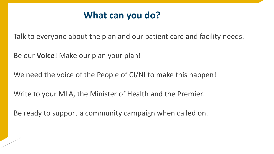## **What can you do?**

Talk to everyone about the plan and our patient care and facility needs.

Be our **Voice**! Make our plan your plan!

We need the voice of the People of CI/NI to make this happen!

Write to your MLA, the Minister of Health and the Premier.

Be ready to support a community campaign when called on.